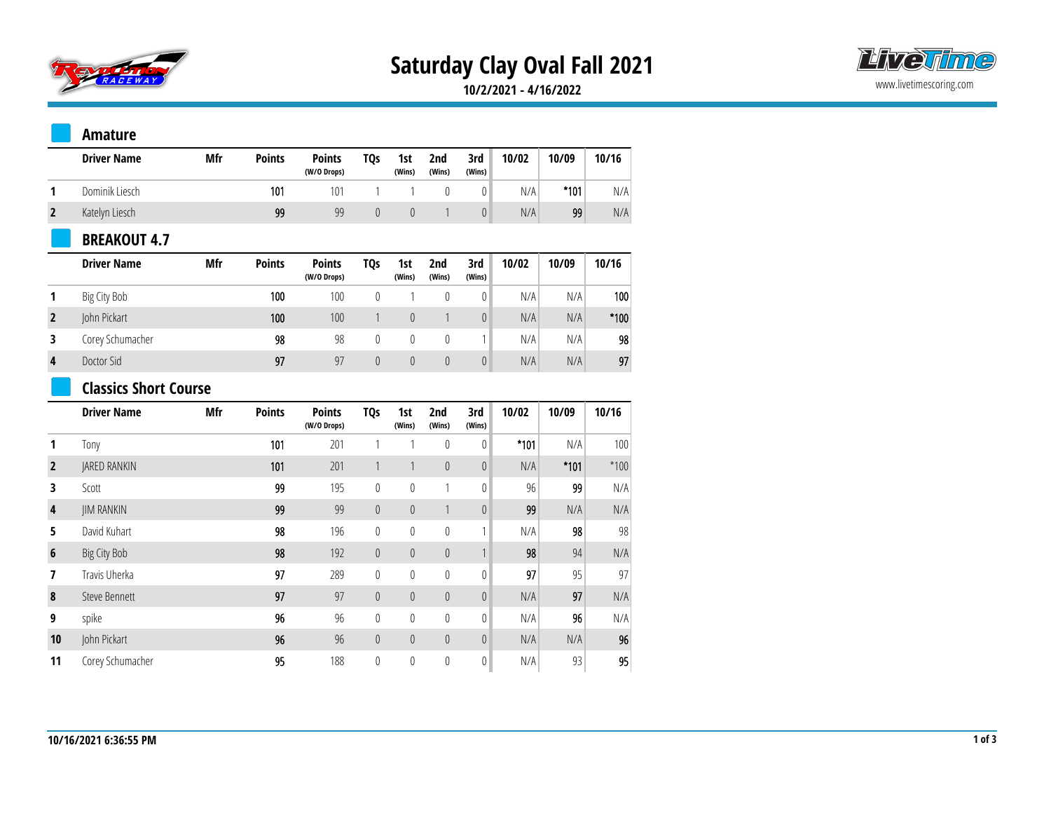

# **Saturday Clay Oval Fall 2021**



**10/2/2021 - 4/16/2022**

#### **Amature**

|   | <b>Driver Name</b> | Mfr | <b>Points</b> | <b>Points</b><br>(W/O Drops) | <b>TQs</b> | 1st<br>(Wins) | 2nd<br>(Wins) | 3rd<br>(Wins) | 10/02 | 10/09  | 10/16 |
|---|--------------------|-----|---------------|------------------------------|------------|---------------|---------------|---------------|-------|--------|-------|
|   | Dominik Liesch     |     | 101           | $10^{\circ}$                 |            |               |               |               | N/A   | $*101$ | N/A   |
| L | Katelyn Liesch     |     | 99            | qq                           |            |               |               |               | N/A   | 99     | N/A   |

### **BREAKOUT 4.7**

|                | <b>Driver Name</b> | Mfr | <b>Points</b> | <b>Points</b><br>(W/O Drops) | TQs | 1st<br>(Wins) | 2nd<br>(Wins) | 3rd<br>(Wins) | 10/02 | 10/09 | 10/16  |
|----------------|--------------------|-----|---------------|------------------------------|-----|---------------|---------------|---------------|-------|-------|--------|
|                | Big City Bob       |     | 100           | 100                          |     |               |               |               | N/A   | N/A   | 100    |
|                | John Pickart       |     | 100           | 100                          |     |               |               | 0             | N/A   | N/A   | $*100$ |
|                | Corey Schumacher   |     | 98            | 98                           |     |               |               |               | N/A   | N/A   | 98     |
| $\overline{4}$ | Doctor Sid         |     | 97            | 97                           |     |               |               | $\theta$      | N/A   | N/A   | 97     |

### **Classics Short Course**

|                 | <b>Driver Name</b>  | Mfr | <b>Points</b> | <b>Points</b><br>(W/O Drops) | <b>TQs</b>     | 1st<br>(Wins) | 2nd<br>(Wins) | 3rd<br>(Wins)    | 10/02  | 10/09  | 10/16  |
|-----------------|---------------------|-----|---------------|------------------------------|----------------|---------------|---------------|------------------|--------|--------|--------|
|                 | Tony                |     | 101           | 201                          |                |               | $\mathbf{0}$  | 0                | $*101$ | N/A    | 100    |
| $\overline{2}$  | <b>JARED RANKIN</b> |     | 101           | 201                          |                |               | $\theta$      | $\theta$         | N/A    | $*101$ | $*100$ |
| 3               | Scott               |     | 99            | 195                          | 0              | $\mathbf{0}$  | 1             | $\mathbf{0}$     | 96     | 99     | N/A    |
| 4               | <b>JIM RANKIN</b>   |     | 99            | 99                           | $\theta$       | $\theta$      |               | $\theta$         | 99     | N/A    | N/A    |
| 5               | David Kuhart        |     | 98            | 196                          | 0              | 0             | $\mathbf{0}$  | 1                | N/A    | 98     | 98     |
| $6\phantom{1}6$ | Big City Bob        |     | 98            | 192                          | $\overline{0}$ | $\theta$      | $\theta$      | 1                | 98     | 94     | N/A    |
| 7               | Travis Uherka       |     | 97            | 289                          | 0              | $\mathbf{0}$  | $\mathbf{0}$  | $\boldsymbol{0}$ | 97     | 95     | 97     |
| 8               | Steve Bennett       |     | 97            | 97                           | $\theta$       | $\theta$      | $\theta$      | $\theta$         | N/A    | 97     | N/A    |
| 9               | spike               |     | 96            | 96                           | 0              | $\mathbf{0}$  | $\mathbf{0}$  | 0                | N/A    | 96     | N/A    |
| 10              | John Pickart        |     | 96            | 96                           | $\theta$       | $\theta$      | $\theta$      | $\theta$         | N/A    | N/A    | 96     |
| 11              | Corey Schumacher    |     | 95            | 188                          | 0              | $\mathbf{0}$  | 0             | $\boldsymbol{0}$ | N/A    | 93     | 95     |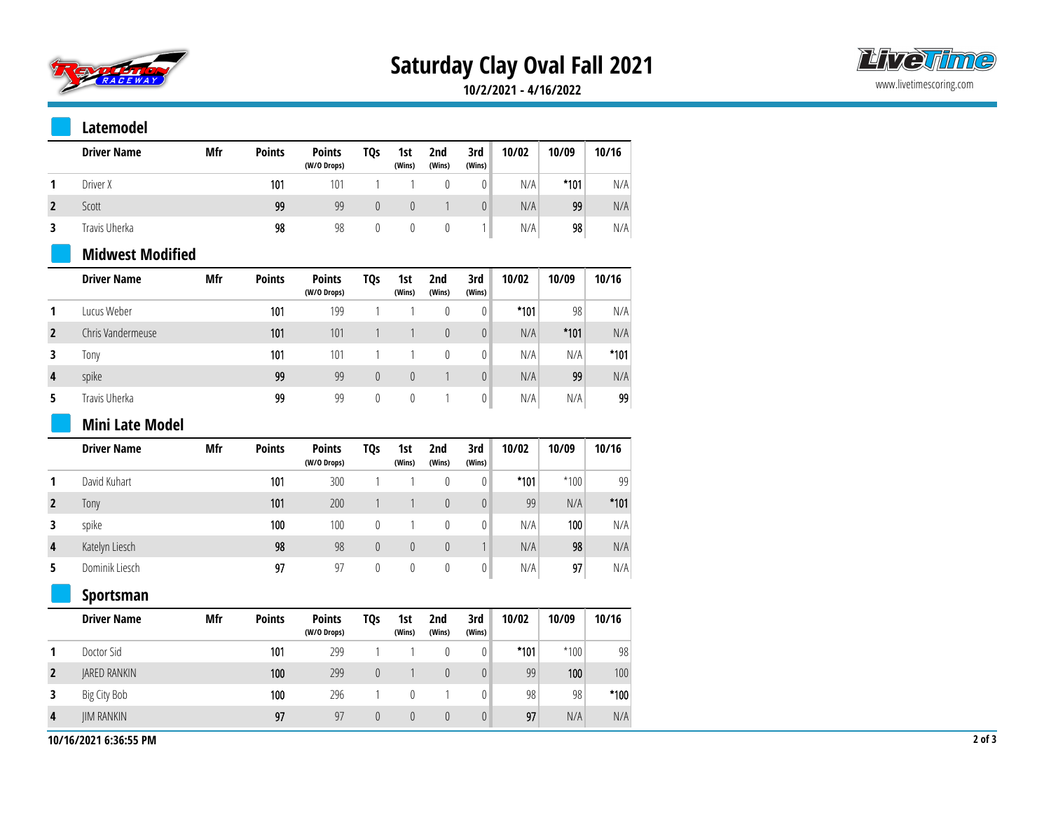

# **Saturday Clay Oval Fall 2021**



**10/2/2021 - 4/16/2022**

#### **Latemodel**

| <b>Driver Name</b> | Mfr | <b>Points</b> | <b>Points</b><br>(W/O Drops) | <b>TQs</b> | 1st<br>(Wins) | 2nd<br>(Wins) | 3rd<br>(Wins) | 10/02 | 10/09  | 10/16 |
|--------------------|-----|---------------|------------------------------|------------|---------------|---------------|---------------|-------|--------|-------|
| Driver X           |     | 101           | 101                          |            |               |               |               | N/A   | $*101$ | N/A   |
| Scott              |     | 99            | 99                           |            |               |               | 0             | N/A   | 99     | N/A   |
| Travis Uherka      |     | 98            | 98                           |            |               |               |               | N/A   | 98     | N/A   |

## **Midwest Modified**

|                | <b>Driver Name</b> | Mfr | <b>Points</b> | <b>Points</b><br>(W/O Drops) | TQs      | 1st<br>(Wins) | 2nd<br>(Wins) | 3rd<br>(Wins) | 10/02  | 10/09  | 10/16  |
|----------------|--------------------|-----|---------------|------------------------------|----------|---------------|---------------|---------------|--------|--------|--------|
|                | Lucus Weber        |     | 101           | 199                          |          |               |               |               | $*101$ | 98     | N/A    |
|                | Chris Vandermeuse  |     | 101           | 101                          |          |               |               | $\theta$      | N/A    | $*101$ | N/A    |
|                | lony               |     | 101           | 101                          |          |               |               |               | N/A    | N/A    | $*101$ |
| $\overline{4}$ | spike              |     | 99            | 99                           | $\theta$ |               |               | $\theta$      | N/A    | 99     | N/A    |
|                | Travis Uherka      |     | 99            | 99                           | C        |               |               |               | N/A    | N/A    | 99     |

#### **Mini Late Model**

|                | <b>Driver Name</b> | Mfr | <b>Points</b> | <b>Points</b><br>(W/O Drops) | TQs | 1st<br>(Wins) | 2nd<br>(Wins) | 3rd<br>(Wins)  | 10/02  | 10/09  | 10/16  |
|----------------|--------------------|-----|---------------|------------------------------|-----|---------------|---------------|----------------|--------|--------|--------|
|                | David Kuhart       |     | 101           | 300                          |     |               |               | $\overline{0}$ | $*101$ | $*100$ | 99     |
|                | Tony               |     | 101           | 200                          |     |               |               | 0              | 99     | N/A    | $*101$ |
|                | spike              |     | 100           | 100                          | 0   |               |               | $\overline{0}$ | N/A    | 100    | N/A    |
| $\overline{4}$ | Katelyn Liesch     |     | 98            | 98                           | 0   |               |               | 1              | N/A    | 98     | N/A    |
|                | Dominik Liesch     |     | 97            | 97                           | 0   |               |               |                | N/A    | 97     | N/A    |

## **Sportsman**

| <b>Driver Name</b> | Mfr | <b>Points</b>    | <b>Points</b><br>(W/O Drops) | TQs | 1st<br>(Wins) | 2nd<br>(Wins) | 3rd<br>(Wins) | 10/02  | 10/09  | 10/16            |
|--------------------|-----|------------------|------------------------------|-----|---------------|---------------|---------------|--------|--------|------------------|
| Doctor Sid         |     | 101              | 299                          |     |               |               | 0             | $*101$ | $*100$ | 98               |
| JARED RANKIN       |     | 100 <sub>1</sub> | 299                          |     |               |               | 0             | 99     | 100    | 100 <sub>1</sub> |
| Big City Bob       |     | 100              | 296                          |     |               |               |               | 98     | 98     | $*100$           |
| <b>IIM RANKIN</b>  |     | 97               | 97                           |     |               |               | 0             | 97     | N/A    | N/A              |

10/16/2021 6:36:55 PM 2 of 3